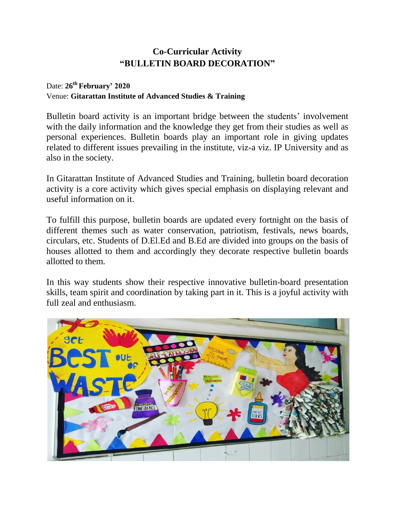## **Co-Curricular Activity "BULLETIN BOARD DECORATION"**

## Date: **26th February' 2020** Venue: **Gitarattan Institute of Advanced Studies & Training**

Bulletin board activity is an important bridge between the students' involvement with the daily information and the knowledge they get from their studies as well as personal experiences. Bulletin boards play an important role in giving updates related to different issues prevailing in the institute, viz-a viz. IP University and as also in the society.

In Gitarattan Institute of Advanced Studies and Training, bulletin board decoration activity is a core activity which gives special emphasis on displaying relevant and useful information on it.

To fulfill this purpose, bulletin boards are updated every fortnight on the basis of different themes such as water conservation, patriotism, festivals, news boards, circulars, etc. Students of D.El.Ed and B.Ed are divided into groups on the basis of houses allotted to them and accordingly they decorate respective bulletin boards allotted to them.

In this way students show their respective innovative bulletin-board presentation skills, team spirit and coordination by taking part in it. This is a joyful activity with full zeal and enthusiasm.